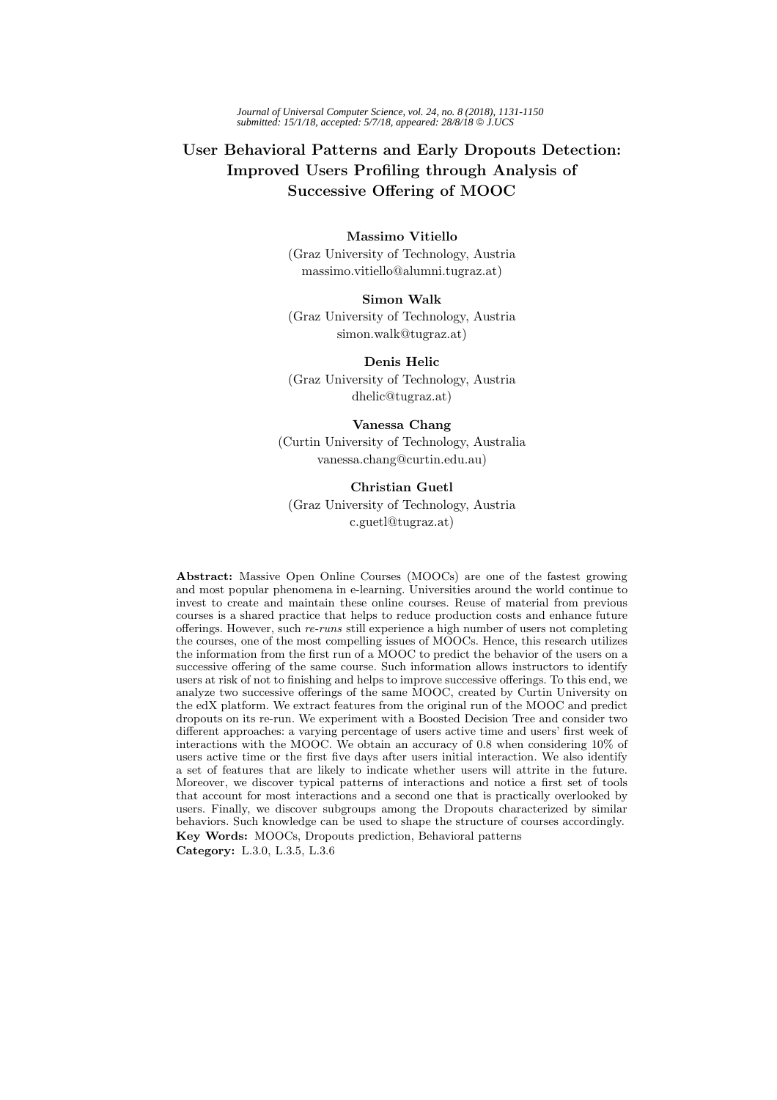*Journal of Universal Computer Science, vol. 24, no. 8 (2018), 1131-1150 submitted: 15/1/18, accepted: 5/7/18, appeared: 28/8/18* © *J.UCS*

# **User Behavioral Patterns and Early Dropouts Detection: Improved Users Profiling through Analysis of Successive Offering of MOOC**

## **Massimo Vitiello**

(Graz University of Technology, Austria massimo.vitiello@alumni.tugraz.at)

## **Simon Walk**

(Graz University of Technology, Austria simon.walk@tugraz.at)

**Denis Helic** (Graz University of Technology, Austria dhelic@tugraz.at)

## **Vanessa Chang**

(Curtin University of Technology, Australia vanessa.chang@curtin.edu.au)

#### **Christian Guetl**

(Graz University of Technology, Austria c.guetl@tugraz.at)

**Abstract:** Massive Open Online Courses (MOOCs) are one of the fastest growing and most popular phenomena in e-learning. Universities around the world continue to invest to create and maintain these online courses. Reuse of material from previous courses is a shared practice that helps to reduce production costs and enhance future offerings. However, such *re-runs* still experience a high number of users not completing the courses, one of the most compelling issues of MOOCs. Hence, this research utilizes the information from the first run of a MOOC to predict the behavior of the users on a successive offering of the same course. Such information allows instructors to identify users at risk of not to finishing and helps to improve successive offerings. To this end, we analyze two successive offerings of the same MOOC, created by Curtin University on the edX platform. We extract features from the original run of the MOOC and predict dropouts on its re-run. We experiment with a Boosted Decision Tree and consider two different approaches: a varying percentage of users active time and users' first week of interactions with the MOOC. We obtain an accuracy of 0.8 when considering 10% of users active time or the first five days after users initial interaction. We also identify a set of features that are likely to indicate whether users will attrite in the future. Moreover, we discover typical patterns of interactions and notice a first set of tools that account for most interactions and a second one that is practically overlooked by users. Finally, we discover subgroups among the Dropouts characterized by similar behaviors. Such knowledge can be used to shape the structure of courses accordingly. **Key Words:** MOOCs, Dropouts prediction, Behavioral patterns **Category:** L.3.0, L.3.5, L.3.6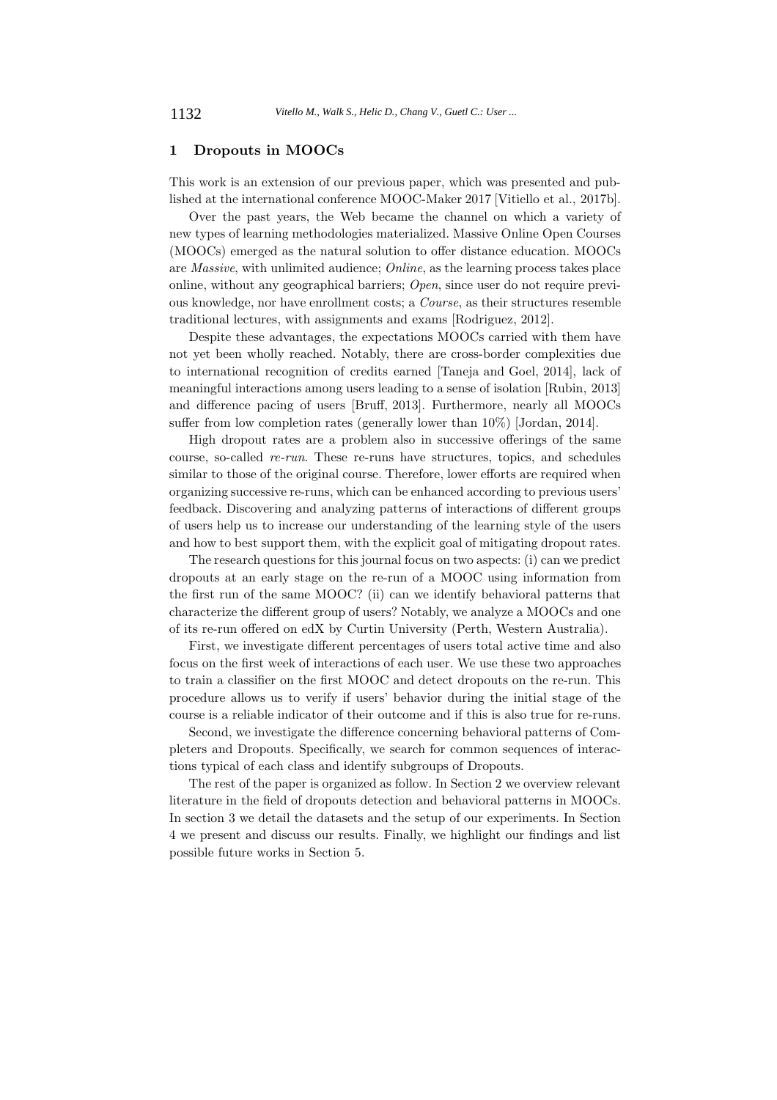## **1 Dropouts in MOOCs**

This work is an extension of our previous paper, which was presented and published at the international conference MOOC-Maker 2017 [Vitiello et al., 2017b].

Over the past years, the Web became the channel on which a variety of new types of learning methodologies materialized. Massive Online Open Courses (MOOCs) emerged as the natural solution to offer distance education. MOOCs are *Massive*, with unlimited audience; *Online*, as the learning process takes place online, without any geographical barriers; *Open*, since user do not require previous knowledge, nor have enrollment costs; a *Course*, as their structures resemble traditional lectures, with assignments and exams [Rodriguez, 2012].

Despite these advantages, the expectations MOOCs carried with them have not yet been wholly reached. Notably, there are cross-border complexities due to international recognition of credits earned [Taneja and Goel, 2014], lack of meaningful interactions among users leading to a sense of isolation [Rubin, 2013] and difference pacing of users [Bruff, 2013]. Furthermore, nearly all MOOCs suffer from low completion rates (generally lower than 10%) [Jordan, 2014].

High dropout rates are a problem also in successive offerings of the same course, so-called *re-run*. These re-runs have structures, topics, and schedules similar to those of the original course. Therefore, lower efforts are required when organizing successive re-runs, which can be enhanced according to previous users' feedback. Discovering and analyzing patterns of interactions of different groups of users help us to increase our understanding of the learning style of the users and how to best support them, with the explicit goal of mitigating dropout rates.

The research questions for this journal focus on two aspects: (i) can we predict dropouts at an early stage on the re-run of a MOOC using information from the first run of the same MOOC? (ii) can we identify behavioral patterns that characterize the different group of users? Notably, we analyze a MOOCs and one of its re-run offered on edX by Curtin University (Perth, Western Australia).

First, we investigate different percentages of users total active time and also focus on the first week of interactions of each user. We use these two approaches to train a classifier on the first MOOC and detect dropouts on the re-run. This procedure allows us to verify if users' behavior during the initial stage of the course is a reliable indicator of their outcome and if this is also true for re-runs.

Second, we investigate the difference concerning behavioral patterns of Completers and Dropouts. Specifically, we search for common sequences of interactions typical of each class and identify subgroups of Dropouts.

The rest of the paper is organized as follow. In Section 2 we overview relevant literature in the field of dropouts detection and behavioral patterns in MOOCs. In section 3 we detail the datasets and the setup of our experiments. In Section 4 we present and discuss our results. Finally, we highlight our findings and list possible future works in Section 5.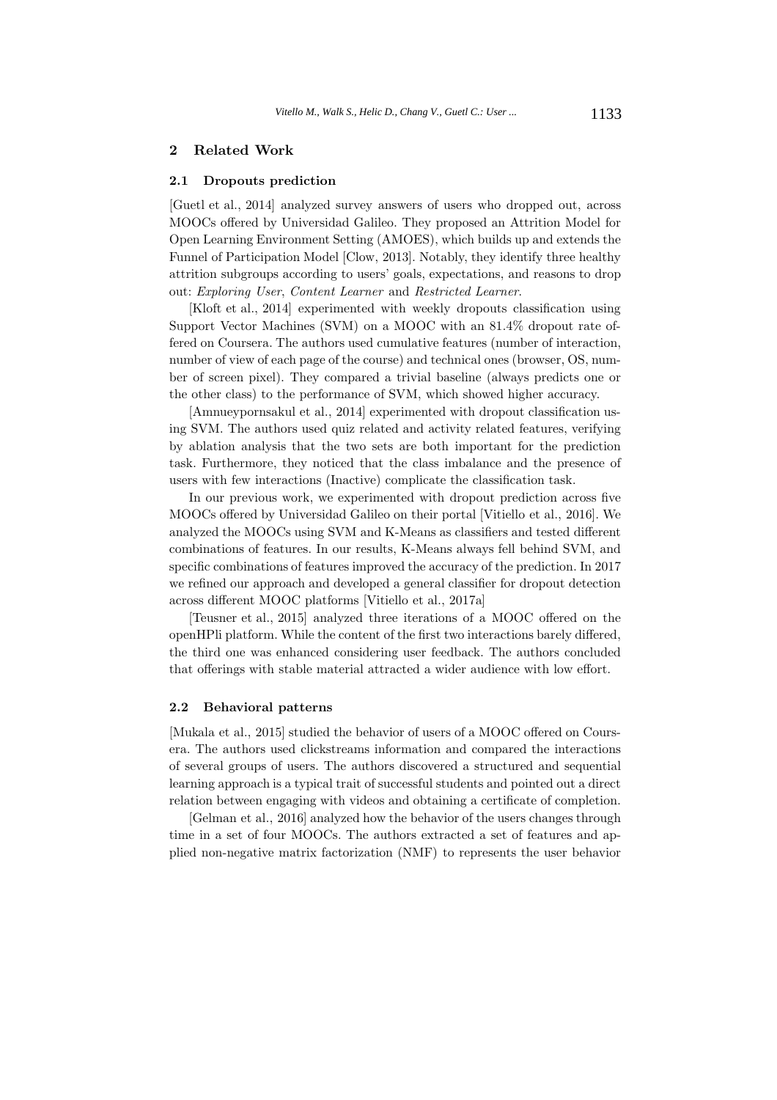## **2 Related Work**

#### **2.1 Dropouts prediction**

[Guetl et al., 2014] analyzed survey answers of users who dropped out, across MOOCs offered by Universidad Galileo. They proposed an Attrition Model for Open Learning Environment Setting (AMOES), which builds up and extends the Funnel of Participation Model [Clow, 2013]. Notably, they identify three healthy attrition subgroups according to users' goals, expectations, and reasons to drop out: *Exploring User*, *Content Learner* and *Restricted Learner*.

[Kloft et al., 2014] experimented with weekly dropouts classification using Support Vector Machines (SVM) on a MOOC with an 81.4% dropout rate offered on Coursera. The authors used cumulative features (number of interaction, number of view of each page of the course) and technical ones (browser, OS, number of screen pixel). They compared a trivial baseline (always predicts one or the other class) to the performance of SVM, which showed higher accuracy.

[Amnueypornsakul et al., 2014] experimented with dropout classification using SVM. The authors used quiz related and activity related features, verifying by ablation analysis that the two sets are both important for the prediction task. Furthermore, they noticed that the class imbalance and the presence of users with few interactions (Inactive) complicate the classification task.

In our previous work, we experimented with dropout prediction across five MOOCs offered by Universidad Galileo on their portal [Vitiello et al., 2016]. We analyzed the MOOCs using SVM and K-Means as classifiers and tested different combinations of features. In our results, K-Means always fell behind SVM, and specific combinations of features improved the accuracy of the prediction. In 2017 we refined our approach and developed a general classifier for dropout detection across different MOOC platforms [Vitiello et al., 2017a]

[Teusner et al., 2015] analyzed three iterations of a MOOC offered on the openHPli platform. While the content of the first two interactions barely differed, the third one was enhanced considering user feedback. The authors concluded that offerings with stable material attracted a wider audience with low effort.

#### **2.2 Behavioral patterns**

[Mukala et al., 2015] studied the behavior of users of a MOOC offered on Coursera. The authors used clickstreams information and compared the interactions of several groups of users. The authors discovered a structured and sequential learning approach is a typical trait of successful students and pointed out a direct relation between engaging with videos and obtaining a certificate of completion.

[Gelman et al., 2016] analyzed how the behavior of the users changes through time in a set of four MOOCs. The authors extracted a set of features and applied non-negative matrix factorization (NMF) to represents the user behavior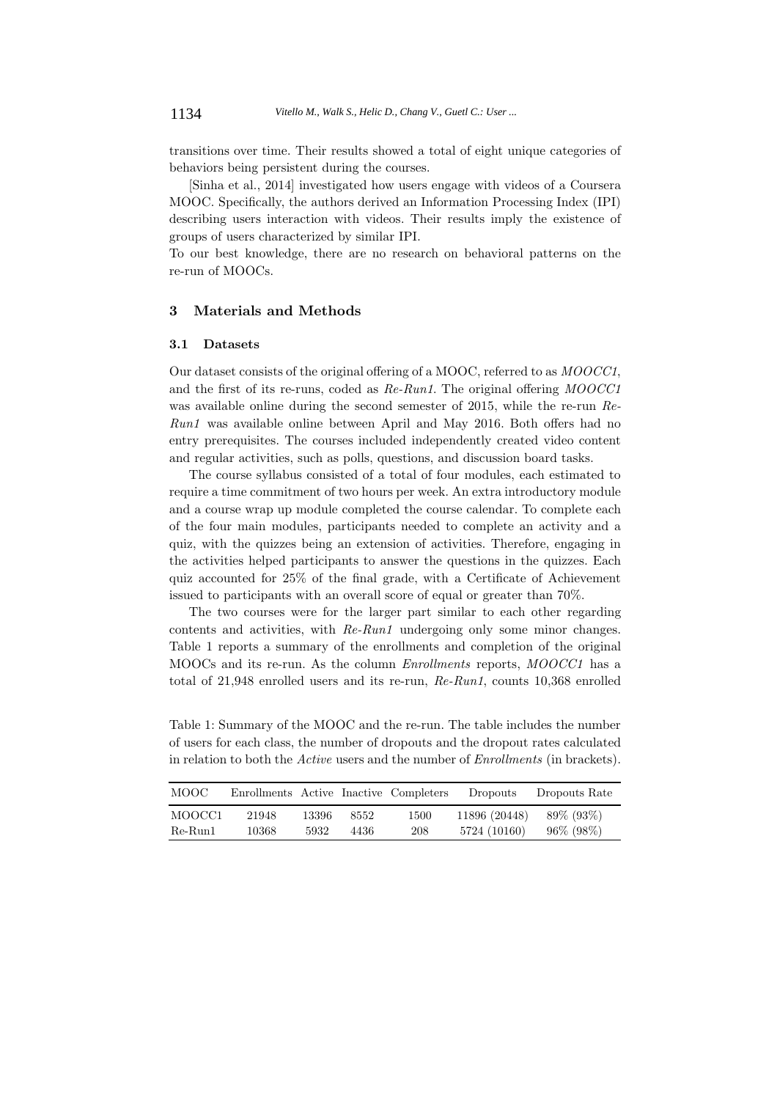transitions over time. Their results showed a total of eight unique categories of behaviors being persistent during the courses.

[Sinha et al., 2014] investigated how users engage with videos of a Coursera MOOC. Specifically, the authors derived an Information Processing Index (IPI) describing users interaction with videos. Their results imply the existence of groups of users characterized by similar IPI.

To our best knowledge, there are no research on behavioral patterns on the re-run of MOOCs.

## **3 Materials and Methods**

#### **3.1 Datasets**

Our dataset consists of the original offering of a MOOC, referred to as *MOOCC1*, and the first of its re-runs, coded as *Re-Run1*. The original offering *MOOCC1* was available online during the second semester of 2015, while the re-run *Re-Run1* was available online between April and May 2016. Both offers had no entry prerequisites. The courses included independently created video content and regular activities, such as polls, questions, and discussion board tasks.

The course syllabus consisted of a total of four modules, each estimated to require a time commitment of two hours per week. An extra introductory module and a course wrap up module completed the course calendar. To complete each of the four main modules, participants needed to complete an activity and a quiz, with the quizzes being an extension of activities. Therefore, engaging in the activities helped participants to answer the questions in the quizzes. Each quiz accounted for 25% of the final grade, with a Certificate of Achievement issued to participants with an overall score of equal or greater than 70%.

The two courses were for the larger part similar to each other regarding contents and activities, with *Re-Run1* undergoing only some minor changes. Table 1 reports a summary of the enrollments and completion of the original MOOCs and its re-run. As the column *Enrollments* reports, *MOOCC1* has a total of 21,948 enrolled users and its re-run, *Re-Run1*, counts 10,368 enrolled

Table 1: Summary of the MOOC and the re-run. The table includes the number of users for each class, the number of dropouts and the dropout rates calculated in relation to both the *Active* users and the number of *Enrollments* (in brackets).

| MOOC-     | Enrollments Active Inactive Completers |       |      |      | Dropouts      | Dropouts Rate |  |
|-----------|----------------------------------------|-------|------|------|---------------|---------------|--|
| MOOCC1    | 21948                                  | 13396 | 8552 | 1500 | 11896 (20448) | 89\% (93\%)   |  |
| $Re-Run1$ | 10368                                  | 5932  | 4436 | 208  | 5724 (10160)  | 96\% (98\%)   |  |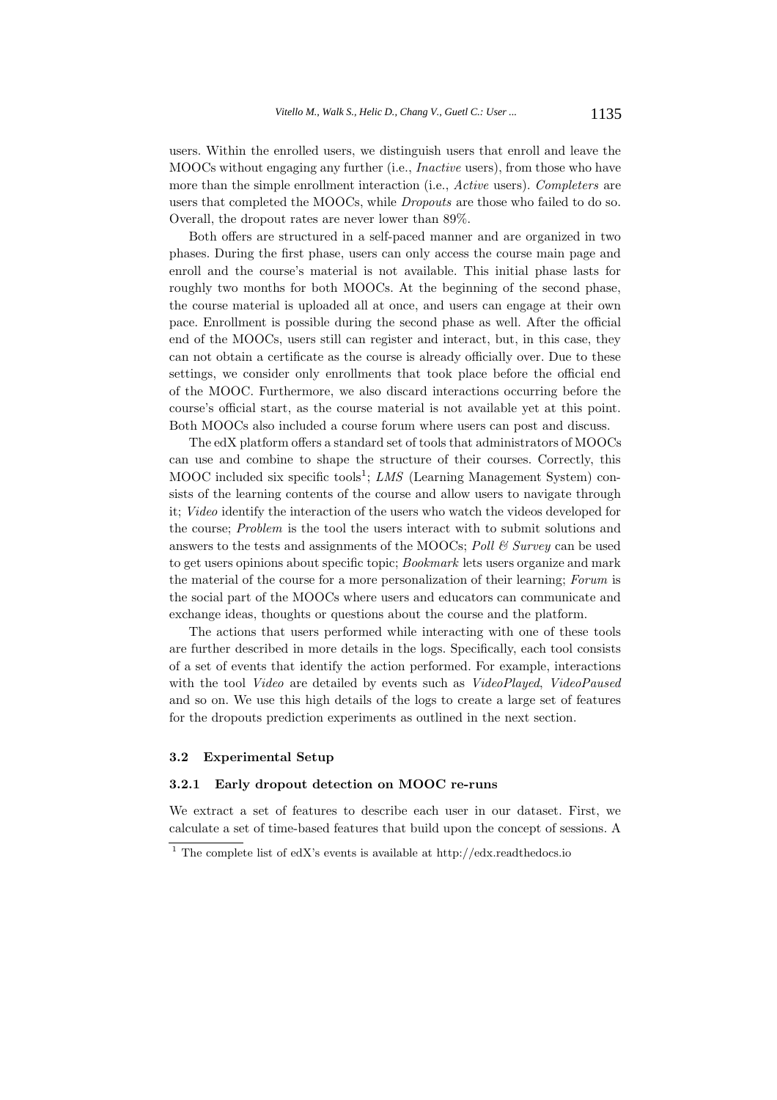users. Within the enrolled users, we distinguish users that enroll and leave the MOOCs without engaging any further (i.e., *Inactive* users), from those who have more than the simple enrollment interaction (i.e., *Active* users). *Completers* are users that completed the MOOCs, while *Dropouts* are those who failed to do so. Overall, the dropout rates are never lower than 89%.

Both offers are structured in a self-paced manner and are organized in two phases. During the first phase, users can only access the course main page and enroll and the course's material is not available. This initial phase lasts for roughly two months for both MOOCs. At the beginning of the second phase, the course material is uploaded all at once, and users can engage at their own pace. Enrollment is possible during the second phase as well. After the official end of the MOOCs, users still can register and interact, but, in this case, they can not obtain a certificate as the course is already officially over. Due to these settings, we consider only enrollments that took place before the official end of the MOOC. Furthermore, we also discard interactions occurring before the course's official start, as the course material is not available yet at this point. Both MOOCs also included a course forum where users can post and discuss.

The edX platform offers a standard set of tools that administrators of MOOCs can use and combine to shape the structure of their courses. Correctly, this MOOC included six specific tools<sup>1</sup>; *LMS* (Learning Management System) consists of the learning contents of the course and allow users to navigate through it; *Video* identify the interaction of the users who watch the videos developed for the course; *Problem* is the tool the users interact with to submit solutions and answers to the tests and assignments of the MOOCs; *Poll & Survey* can be used to get users opinions about specific topic; *Bookmark* lets users organize and mark the material of the course for a more personalization of their learning; *Forum* is the social part of the MOOCs where users and educators can communicate and exchange ideas, thoughts or questions about the course and the platform.

The actions that users performed while interacting with one of these tools are further described in more details in the logs. Specifically, each tool consists of a set of events that identify the action performed. For example, interactions with the tool *Video* are detailed by events such as *VideoPlayed*, *VideoPaused* and so on. We use this high details of the logs to create a large set of features for the dropouts prediction experiments as outlined in the next section.

#### **3.2 Experimental Setup**

## **3.2.1 Early dropout detection on MOOC re-runs**

We extract a set of features to describe each user in our dataset. First, we calculate a set of time-based features that build upon the concept of sessions. A

<sup>&</sup>lt;sup>1</sup> The complete list of edX's events is available at http://edx.readthedocs.io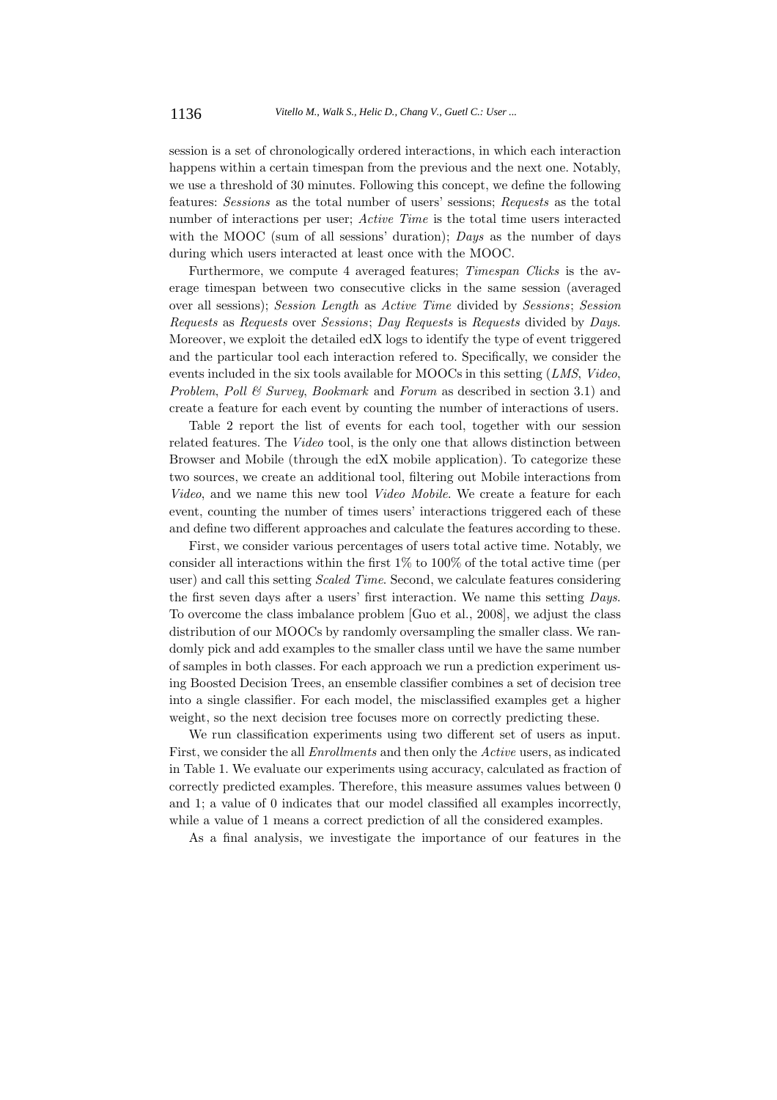session is a set of chronologically ordered interactions, in which each interaction happens within a certain timespan from the previous and the next one. Notably, we use a threshold of 30 minutes. Following this concept, we define the following features: *Sessions* as the total number of users' sessions; *Requests* as the total number of interactions per user; *Active Time* is the total time users interacted with the MOOC (sum of all sessions' duration); *Days* as the number of days during which users interacted at least once with the MOOC.

Furthermore, we compute 4 averaged features; *Timespan Clicks* is the average timespan between two consecutive clicks in the same session (averaged over all sessions); *Session Length* as *Active Time* divided by *Sessions*; *Session Requests* as *Requests* over *Sessions*; *Day Requests* is *Requests* divided by *Days*. Moreover, we exploit the detailed edX logs to identify the type of event triggered and the particular tool each interaction refered to. Specifically, we consider the events included in the six tools available for MOOCs in this setting (*LMS*, *Video*, *Problem*, *Poll & Survey*, *Bookmark* and *Forum* as described in section 3.1) and create a feature for each event by counting the number of interactions of users.

Table 2 report the list of events for each tool, together with our session related features. The *Video* tool, is the only one that allows distinction between Browser and Mobile (through the edX mobile application). To categorize these two sources, we create an additional tool, filtering out Mobile interactions from *Video*, and we name this new tool *Video Mobile*. We create a feature for each event, counting the number of times users' interactions triggered each of these and define two different approaches and calculate the features according to these.

First, we consider various percentages of users total active time. Notably, we consider all interactions within the first 1% to 100% of the total active time (per user) and call this setting *Scaled Time*. Second, we calculate features considering the first seven days after a users' first interaction. We name this setting *Days*. To overcome the class imbalance problem [Guo et al., 2008], we adjust the class distribution of our MOOCs by randomly oversampling the smaller class. We randomly pick and add examples to the smaller class until we have the same number of samples in both classes. For each approach we run a prediction experiment using Boosted Decision Trees, an ensemble classifier combines a set of decision tree into a single classifier. For each model, the misclassified examples get a higher weight, so the next decision tree focuses more on correctly predicting these.

We run classification experiments using two different set of users as input. First, we consider the all *Enrollments* and then only the *Active* users, as indicated in Table 1. We evaluate our experiments using accuracy, calculated as fraction of correctly predicted examples. Therefore, this measure assumes values between 0 and 1; a value of 0 indicates that our model classified all examples incorrectly, while a value of 1 means a correct prediction of all the considered examples.

As a final analysis, we investigate the importance of our features in the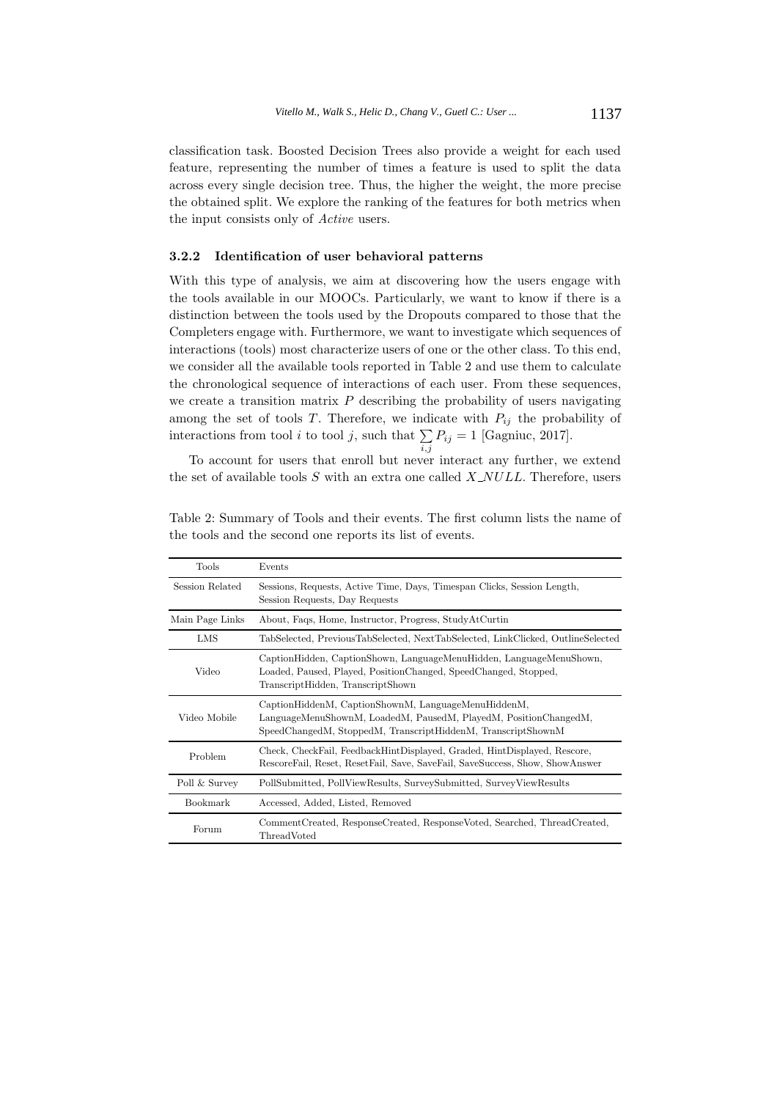classification task. Boosted Decision Trees also provide a weight for each used feature, representing the number of times a feature is used to split the data across every single decision tree. Thus, the higher the weight, the more precise the obtained split. We explore the ranking of the features for both metrics when the input consists only of *Active* users.

#### **3.2.2 Identification of user behavioral patterns**

With this type of analysis, we aim at discovering how the users engage with the tools available in our MOOCs. Particularly, we want to know if there is a distinction between the tools used by the Dropouts compared to those that the Completers engage with. Furthermore, we want to investigate which sequences of interactions (tools) most characterize users of one or the other class. To this end, we consider all the available tools reported in Table 2 and use them to calculate the chronological sequence of interactions of each user. From these sequences, we create a transition matrix *P* describing the probability of users navigating among the set of tools  $T$ . Therefore, we indicate with  $P_{ij}$  the probability of interactions from tool *i* to tool *j*, such that  $\sum$  $\sum_{i,j} P_{ij} = 1$  [Gagniuc, 2017].

To account for users that enroll but never interact any further, we extend the set of available tools *S* with an extra one called *X NULL*. Therefore, users

| Tools           | Events                                                                                                                                                                                  |
|-----------------|-----------------------------------------------------------------------------------------------------------------------------------------------------------------------------------------|
| Session Related | Sessions, Requests, Active Time, Days, Timespan Clicks, Session Length,<br>Session Requests, Day Requests                                                                               |
| Main Page Links | About, Faqs, Home, Instructor, Progress, StudyAtCurtin                                                                                                                                  |
| LMS             | TabSelected, PreviousTabSelected, NextTabSelected, LinkClicked, OutlineSelected                                                                                                         |
| Video           | CaptionHidden, CaptionShown, LanguageMenuHidden, LanguageMenuShown,<br>Loaded, Paused, Played, PositionChanged, SpeedChanged, Stopped,<br>TranscriptHidden, TranscriptShown             |
| Video Mobile    | CaptionHiddenM, CaptionShownM, LanguageMenuHiddenM,<br>LanguageMenuShownM, LoadedM, PausedM, PlayedM, PositionChangedM,<br>SpeedChangedM, StoppedM, TranscriptHiddenM, TranscriptShownM |
| Problem         | Check, CheckFail, FeedbackHintDisplayed, Graded, HintDisplayed, Rescore,<br>RescoreFail, Reset, ResetFail, Save, SaveFail, SaveSuccess, Show, ShowAnswer                                |
| Poll & Survey   | PollSubmitted, PollViewResults, SurveySubmitted, SurveyViewResults                                                                                                                      |
| Bookmark        | Accessed, Added, Listed, Removed                                                                                                                                                        |
| Forum           | Comment Created, Response Created, Response Voted, Searched, Thread Created,<br>ThreadVoted                                                                                             |

Table 2: Summary of Tools and their events. The first column lists the name of the tools and the second one reports its list of events.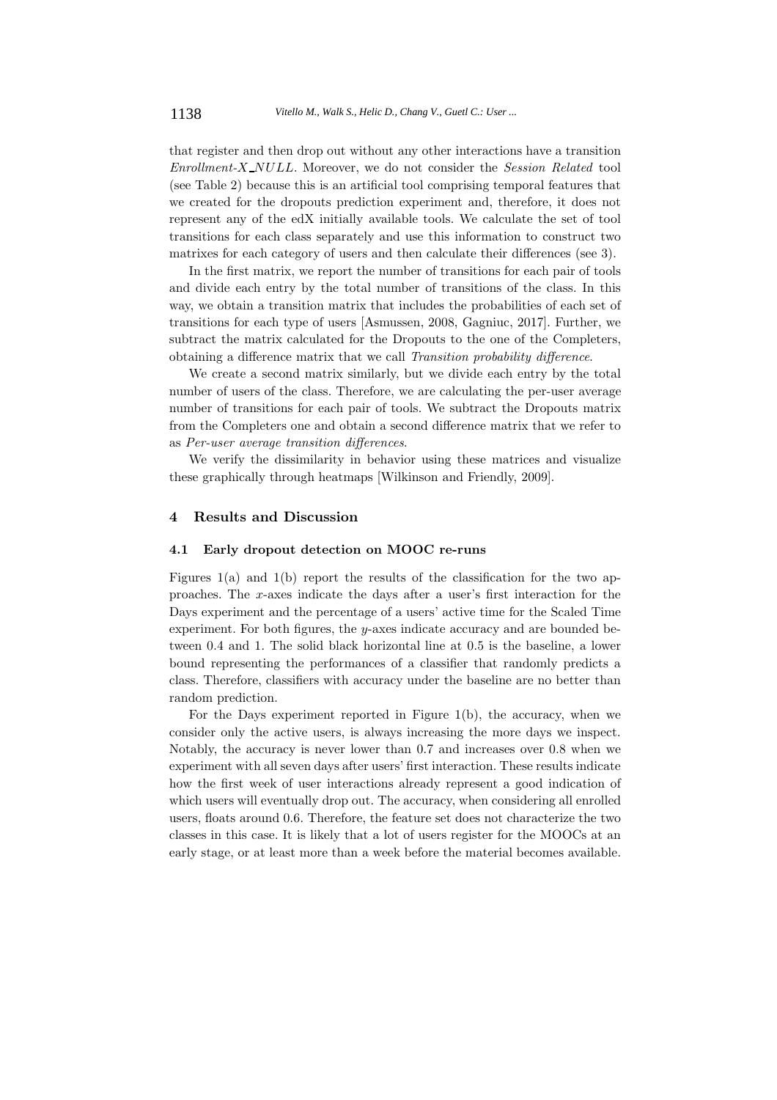that register and then drop out without any other interactions have a transition *Enrollment-X NULL*. Moreover, we do not consider the *Session Related* tool (see Table 2) because this is an artificial tool comprising temporal features that we created for the dropouts prediction experiment and, therefore, it does not represent any of the edX initially available tools. We calculate the set of tool transitions for each class separately and use this information to construct two matrixes for each category of users and then calculate their differences (see 3).

In the first matrix, we report the number of transitions for each pair of tools and divide each entry by the total number of transitions of the class. In this way, we obtain a transition matrix that includes the probabilities of each set of transitions for each type of users [Asmussen, 2008, Gagniuc, 2017]. Further, we subtract the matrix calculated for the Dropouts to the one of the Completers, obtaining a difference matrix that we call *Transition probability difference*.

We create a second matrix similarly, but we divide each entry by the total number of users of the class. Therefore, we are calculating the per-user average number of transitions for each pair of tools. We subtract the Dropouts matrix from the Completers one and obtain a second difference matrix that we refer to as *Per-user average transition differences*.

We verify the dissimilarity in behavior using these matrices and visualize these graphically through heatmaps [Wilkinson and Friendly, 2009].

## **4 Results and Discussion**

## **4.1 Early dropout detection on MOOC re-runs**

Figures  $1(a)$  and  $1(b)$  report the results of the classification for the two approaches. The *x*-axes indicate the days after a user's first interaction for the Days experiment and the percentage of a users' active time for the Scaled Time experiment. For both figures, the *y*-axes indicate accuracy and are bounded between 0*.*4 and 1. The solid black horizontal line at 0*.*5 is the baseline, a lower bound representing the performances of a classifier that randomly predicts a class. Therefore, classifiers with accuracy under the baseline are no better than random prediction.

For the Days experiment reported in Figure 1(b), the accuracy, when we consider only the active users, is always increasing the more days we inspect. Notably, the accuracy is never lower than 0.7 and increases over 0.8 when we experiment with all seven days after users' first interaction. These results indicate how the first week of user interactions already represent a good indication of which users will eventually drop out. The accuracy, when considering all enrolled users, floats around 0*.*6. Therefore, the feature set does not characterize the two classes in this case. It is likely that a lot of users register for the MOOCs at an early stage, or at least more than a week before the material becomes available.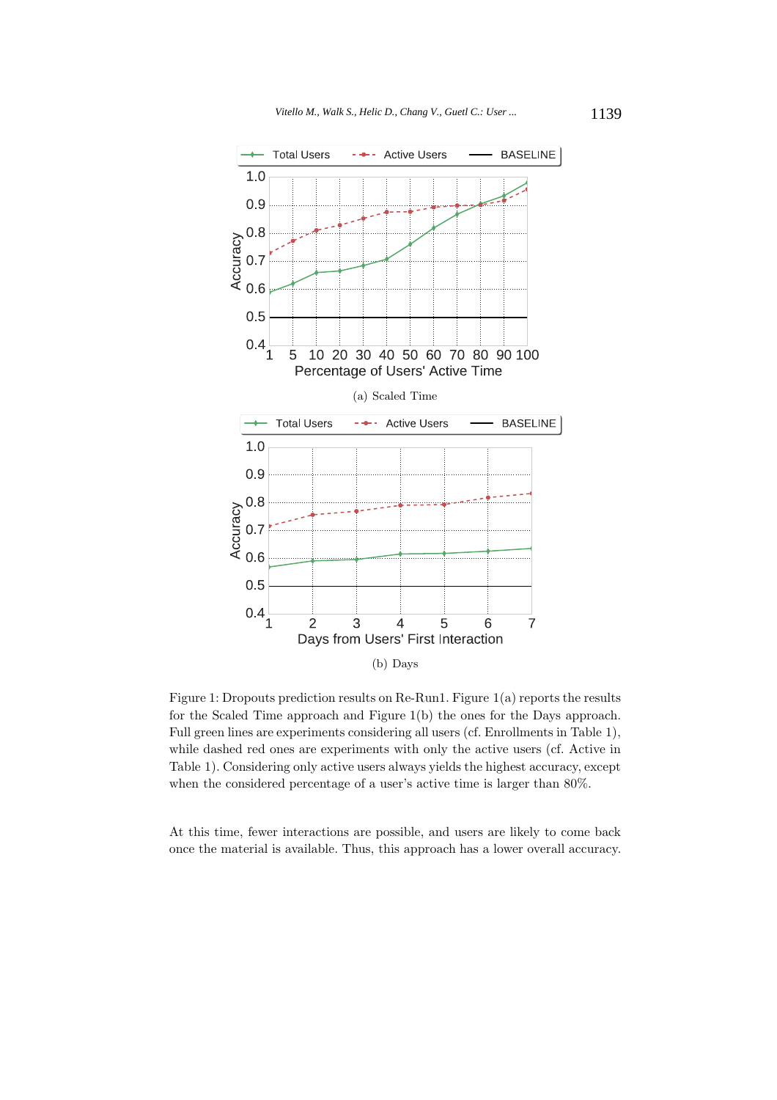

Figure 1: Dropouts prediction results on Re-Run1. Figure 1(a) reports the results for the Scaled Time approach and Figure 1(b) the ones for the Days approach. Full green lines are experiments considering all users (cf. Enrollments in Table 1), while dashed red ones are experiments with only the active users (cf. Active in Table 1). Considering only active users always yields the highest accuracy, except when the considered percentage of a user's active time is larger than 80%.

At this time, fewer interactions are possible, and users are likely to come back once the material is available. Thus, this approach has a lower overall accuracy.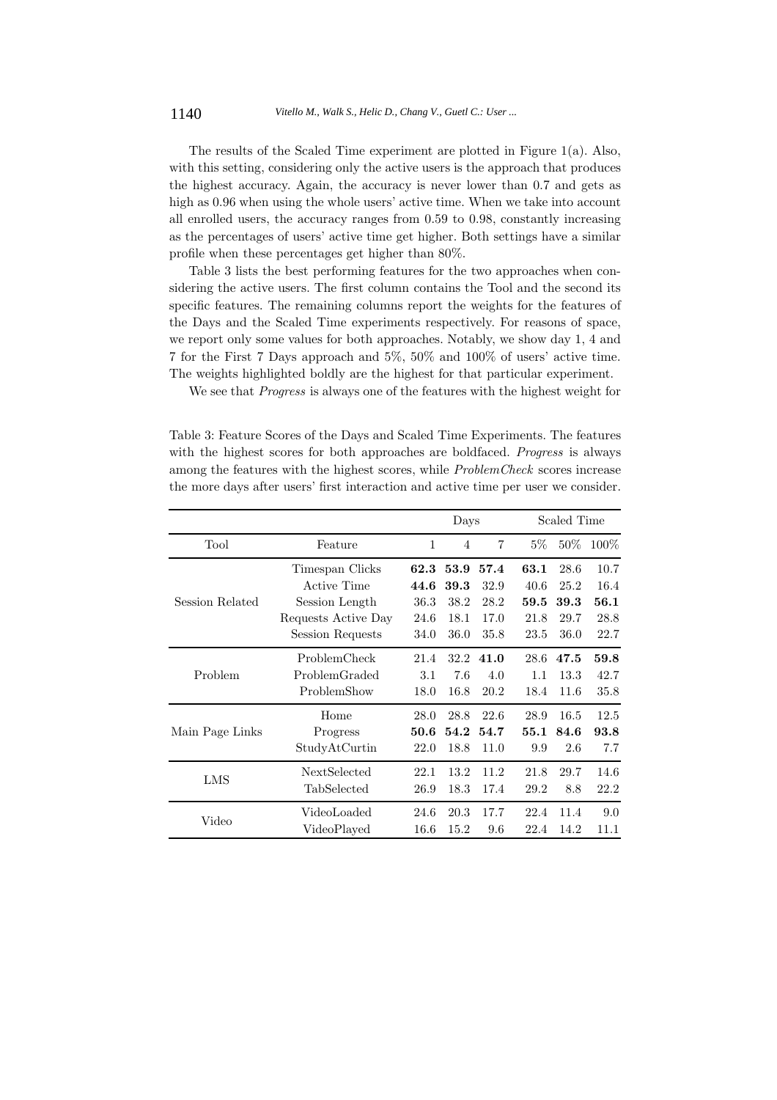The results of the Scaled Time experiment are plotted in Figure 1(a). Also, with this setting, considering only the active users is the approach that produces the highest accuracy. Again, the accuracy is never lower than 0.7 and gets as high as 0.96 when using the whole users' active time. When we take into account all enrolled users, the accuracy ranges from 0.59 to 0.98, constantly increasing as the percentages of users' active time get higher. Both settings have a similar profile when these percentages get higher than 80%.

Table 3 lists the best performing features for the two approaches when considering the active users. The first column contains the Tool and the second its specific features. The remaining columns report the weights for the features of the Days and the Scaled Time experiments respectively. For reasons of space, we report only some values for both approaches. Notably, we show day 1, 4 and 7 for the First 7 Days approach and 5%, 50% and 100% of users' active time. The weights highlighted boldly are the highest for that particular experiment.

We see that *Progress* is always one of the features with the highest weight for

Table 3: Feature Scores of the Days and Scaled Time Experiments. The features with the highest scores for both approaches are boldfaced. *Progress* is always among the features with the highest scores, while *ProblemCheck* scores increase the more days after users' first interaction and active time per user we consider.

|                 |                     | Days |                |       | Scaled Time |         |      |  |
|-----------------|---------------------|------|----------------|-------|-------------|---------|------|--|
| Tool            | 1                   | 4    | $\overline{7}$ | $5\%$ | $50\%$      | $100\%$ |      |  |
|                 | Timespan Clicks     | 62.3 | 53.9           | 57.4  | 63.1        | 28.6    | 10.7 |  |
|                 | Active Time         | 44.6 | 39.3           | 32.9  | 40.6        | 25.2    | 16.4 |  |
| Session Related | Session Length      | 36.3 | 38.2           | 28.2  | 59.5        | 39.3    | 56.1 |  |
|                 | Requests Active Day | 24.6 | 18.1           | 17.0  | 21.8        | 29.7    | 28.8 |  |
|                 | Session Requests    | 34.0 | 36.0           | 35.8  | 23.5        | 36.0    | 22.7 |  |
|                 | ProblemCheck        | 21.4 | 32.2           | 41.0  | 28.6        | 47.5    | 59.8 |  |
| Problem         | ProblemGraded       | 3.1  | 7.6            | 4.0   | 1.1         | 13.3    | 42.7 |  |
|                 | ProblemShow         | 18.0 | 16.8           | 20.2  | 18.4        | 11.6    | 35.8 |  |
|                 | Home                | 28.0 | 28.8           | 22.6  | 28.9        | 16.5    | 12.5 |  |
| Main Page Links | Progress            | 50.6 | 54.2           | 54.7  | 55.1        | 84.6    | 93.8 |  |
|                 | StudyAtCurtin       | 22.0 | 18.8           | 11.0  | 9.9         | 2.6     | 7.7  |  |
| LMS             | NextSelected        | 22.1 | 13.2           | 11.2  | 21.8        | 29.7    | 14.6 |  |
|                 | TabSelected         | 26.9 | 18.3           | 17.4  | 29.2        | 8.8     | 22.2 |  |
| Video           | VideoLoaded         | 24.6 | 20.3           | 17.7  | 22.4        | 11.4    | 9.0  |  |
|                 | VideoPlayed         | 16.6 | 15.2           | 9.6   | 22.4        | 14.2    | 11.1 |  |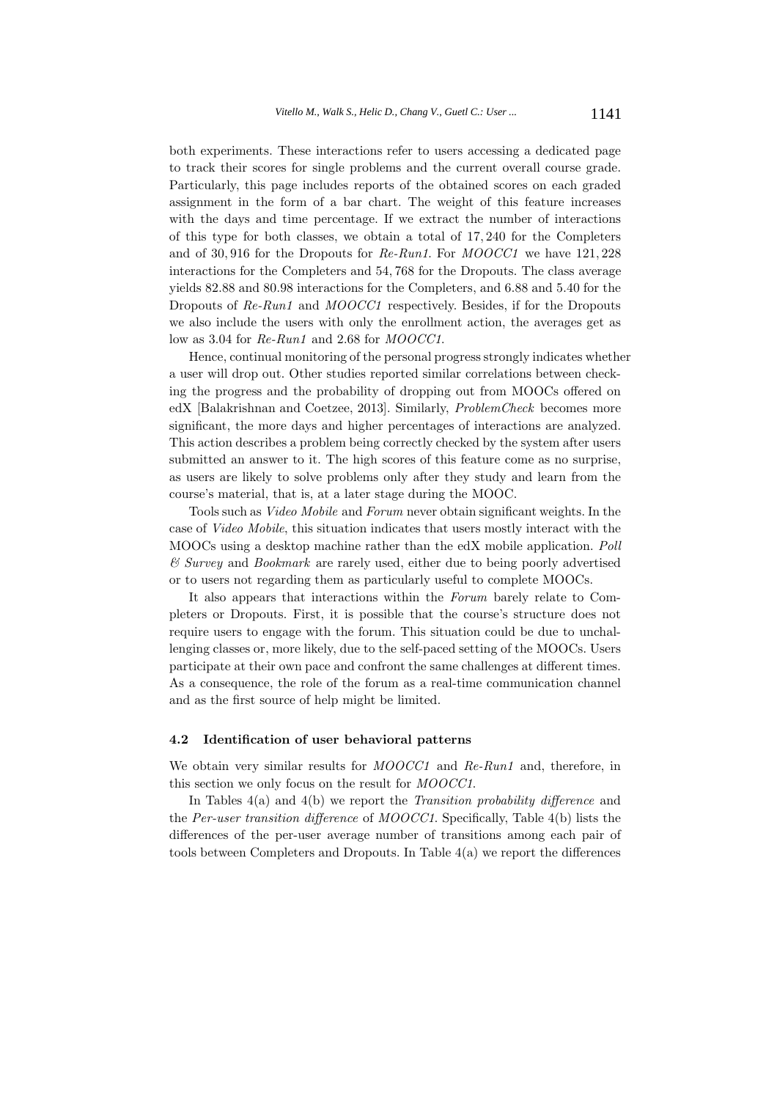both experiments. These interactions refer to users accessing a dedicated page to track their scores for single problems and the current overall course grade. Particularly, this page includes reports of the obtained scores on each graded assignment in the form of a bar chart. The weight of this feature increases with the days and time percentage. If we extract the number of interactions of this type for both classes, we obtain a total of 17*,* 240 for the Completers and of 30*,* 916 for the Dropouts for *Re-Run1*. For *MOOCC1* we have 121*,* 228 interactions for the Completers and 54*,* 768 for the Dropouts. The class average yields 82.88 and 80.98 interactions for the Completers, and 6.88 and 5.40 for the Dropouts of *Re-Run1* and *MOOCC1* respectively. Besides, if for the Dropouts we also include the users with only the enrollment action, the averages get as low as 3.04 for *Re-Run1* and 2.68 for *MOOCC1*.

Hence, continual monitoring of the personal progress strongly indicates whether a user will drop out. Other studies reported similar correlations between checking the progress and the probability of dropping out from MOOCs offered on edX [Balakrishnan and Coetzee, 2013]. Similarly, *ProblemCheck* becomes more significant, the more days and higher percentages of interactions are analyzed. This action describes a problem being correctly checked by the system after users submitted an answer to it. The high scores of this feature come as no surprise, as users are likely to solve problems only after they study and learn from the course's material, that is, at a later stage during the MOOC.

Tools such as *Video Mobile* and *Forum* never obtain significant weights. In the case of *Video Mobile*, this situation indicates that users mostly interact with the MOOCs using a desktop machine rather than the edX mobile application. *Poll & Survey* and *Bookmark* are rarely used, either due to being poorly advertised or to users not regarding them as particularly useful to complete MOOCs.

It also appears that interactions within the *Forum* barely relate to Completers or Dropouts. First, it is possible that the course's structure does not require users to engage with the forum. This situation could be due to unchallenging classes or, more likely, due to the self-paced setting of the MOOCs. Users participate at their own pace and confront the same challenges at different times. As a consequence, the role of the forum as a real-time communication channel and as the first source of help might be limited.

## **4.2 Identification of user behavioral patterns**

We obtain very similar results for *MOOCC1* and *Re-Run1* and, therefore, in this section we only focus on the result for *MOOCC1*.

In Tables 4(a) and 4(b) we report the *Transition probability difference* and the *Per-user transition difference* of *MOOCC1*. Specifically, Table 4(b) lists the differences of the per-user average number of transitions among each pair of tools between Completers and Dropouts. In Table 4(a) we report the differences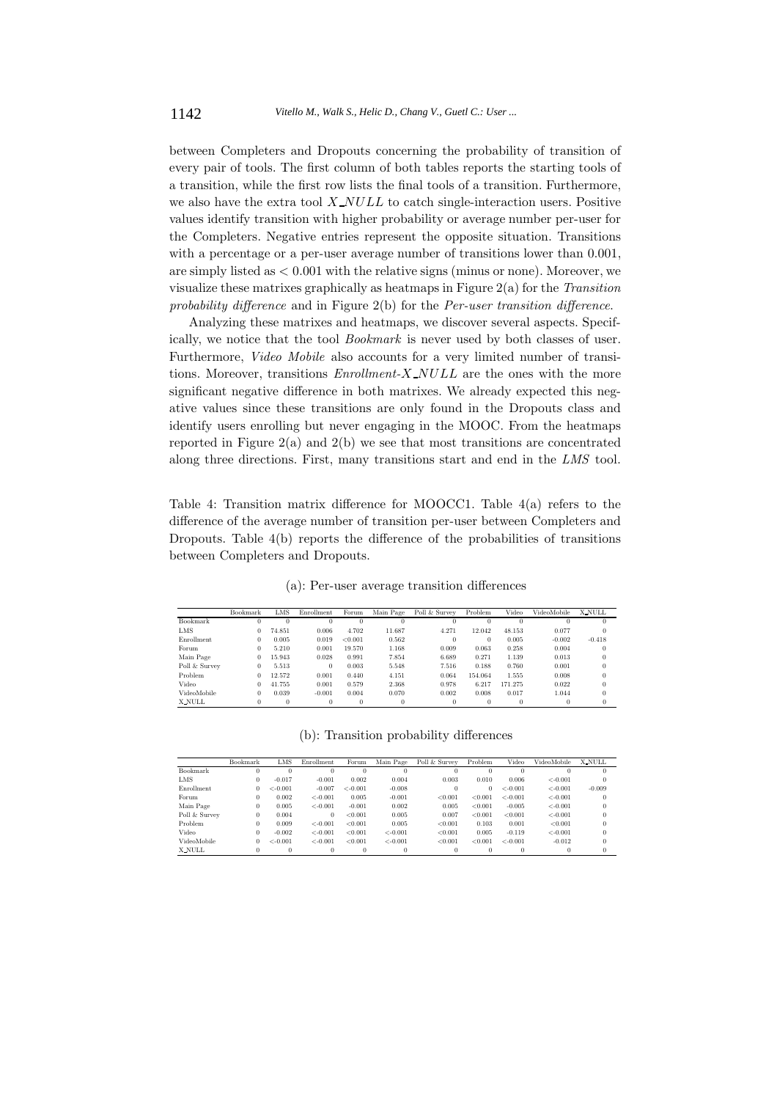between Completers and Dropouts concerning the probability of transition of every pair of tools. The first column of both tables reports the starting tools of a transition, while the first row lists the final tools of a transition. Furthermore, we also have the extra tool *X NULL* to catch single-interaction users. Positive values identify transition with higher probability or average number per-user for the Completers. Negative entries represent the opposite situation. Transitions with a percentage or a per-user average number of transitions lower than  $0.001$ , are simply listed as *<* 0*.*001 with the relative signs (minus or none). Moreover, we visualize these matrixes graphically as heatmaps in Figure 2(a) for the *Transition probability difference* and in Figure 2(b) for the *Per-user transition difference*.

Analyzing these matrixes and heatmaps, we discover several aspects. Specifically, we notice that the tool *Bookmark* is never used by both classes of user. Furthermore, *Video Mobile* also accounts for a very limited number of transitions. Moreover, transitions *Enrollment-X NULL* are the ones with the more significant negative difference in both matrixes. We already expected this negative values since these transitions are only found in the Dropouts class and identify users enrolling but never engaging in the MOOC. From the heatmaps reported in Figure 2(a) and 2(b) we see that most transitions are concentrated along three directions. First, many transitions start and end in the *LMS* tool.

Table 4: Transition matrix difference for MOOCC1. Table 4(a) refers to the difference of the average number of transition per-user between Completers and Dropouts. Table 4(b) reports the difference of the probabilities of transitions between Completers and Dropouts.

(a): Per-user average transition differences

|               | Bookmark | LMS    | Enrollment | Forum   | Main Page | Poll & Survey | Problem  | Video   | VideoMobile | <b>X_NULL</b> |
|---------------|----------|--------|------------|---------|-----------|---------------|----------|---------|-------------|---------------|
| Bookmark      | $\bf{0}$ |        |            |         |           |               |          |         |             |               |
| <b>LMS</b>    | $\theta$ | 74.851 | 0.006      | 4.702   | 11.687    | 4.271         | 12.042   | 48.153  | 0.077       | $\bf{0}$      |
| Enrollment    | $\theta$ | 0.005  | 0.019      | < 0.001 | 0.562     | $\Omega$      | $\theta$ | 0.005   | $-0.002$    | $-0.418$      |
| Forum         | 0        | 5.210  | 0.001      | 19.570  | 1.168     | 0.009         | 0.063    | 0.258   | 0.004       | $\Omega$      |
| Main Page     | 0        | 15.943 | 0.028      | 0.991   | 7.854     | 6.689         | 0.271    | 1.139   | 0.013       |               |
| Poll & Survey | $\bf{0}$ | 5.513  | $\bf{0}$   | 0.003   | 5.548     | 7.516         | 0.188    | 0.760   | 0.001       |               |
| Problem       | 0        | 12.572 | 0.001      | 0.440   | 4.151     | 0.064         | 154.064  | 1.555   | 0.008       |               |
| Video         | 0        | 41.755 | 0.001      | 0.579   | 2.368     | 0.978         | 6.217    | 171.275 | 0.022       |               |
| VideoMobile   | $\Omega$ | 0.039  | $-0.001$   | 0.004   | 0.070     | 0.002         | 0.008    | 0.017   | 1.044       |               |
| X_NULL        | $\Omega$ | 0      | $\bf{0}$   | 0       | 0         | $\Omega$      | $\Omega$ | 0       | 0           | $\Omega$      |

(b): Transition probability differences

|               | Bookmark | LMS        | Enrollment | Forum      | Main Page  | Poll & Survey | Problem  | Video      | VideoMobile | <b>X_NULL</b> |
|---------------|----------|------------|------------|------------|------------|---------------|----------|------------|-------------|---------------|
| Bookmark      | 0        | 0          | 0          |            | o          |               | $^{0}$   | 0          |             |               |
| LMS           | 0        | $-0.017$   | $-0.001$   | 0.002      | 0.004      | 0.003         | 0.010    | 0.006      | $< -0.001$  |               |
| Enrollment    | 0        | $< -0.001$ | $-0.007$   | $< -0.001$ | $-0.008$   |               | $\Omega$ | $< -0.001$ | $< -0.001$  | $-0.009$      |
| Forum         | $\Omega$ | 0.002      | $< -0.001$ | 0.005      | $-0.001$   | < 0.001       | < 0.001  | $< -0.001$ | $< -0.001$  |               |
| Main Page     | $\Omega$ | 0.005      | $< -0.001$ | $-0.001$   | 0.002      | 0.005         | < 0.001  | $-0.005$   | $<-0.001$   |               |
| Poll & Survey | $\Omega$ | 0.004      | $\bf{0}$   | < 0.001    | 0.005      | 0.007         | < 0.001  | < 0.001    | $< -0.001$  |               |
| Problem       |          | 0.009      | $< -0.001$ | < 0.001    | 0.005      | < 0.001       | 0.103    | 0.001      | < 0.001     |               |
| Video         |          | $-0.002$   | $< -0.001$ | < 0.001    | $< -0.001$ | < 0.001       | 0.005    | $-0.119$   | $< -0.001$  |               |
| VideoMobile   | $\Omega$ | $< -0.001$ | $< -0.001$ | < 0.001    | $< -0.001$ | < 0.001       | < 0.001  | $< -0.001$ | $-0.012$    |               |
| X_NULL        | 0        | $\Omega$   |            |            |            |               | $\Omega$ |            |             |               |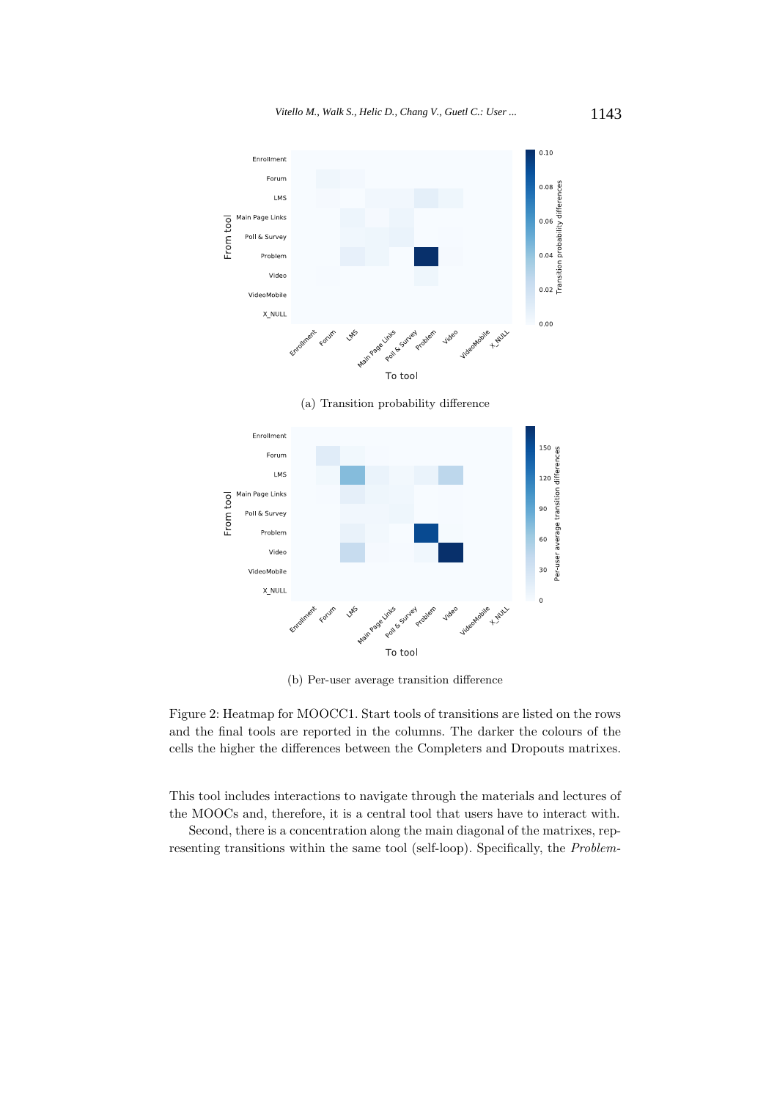

(a) Transition probability difference



(b) Per-user average transition difference

Figure 2: Heatmap for MOOCC1. Start tools of transitions are listed on the rows and the final tools are reported in the columns. The darker the colours of the cells the higher the differences between the Completers and Dropouts matrixes.

This tool includes interactions to navigate through the materials and lectures of the MOOCs and, therefore, it is a central tool that users have to interact with.

Second, there is a concentration along the main diagonal of the matrixes, representing transitions within the same tool (self-loop). Specifically, the *Problem-*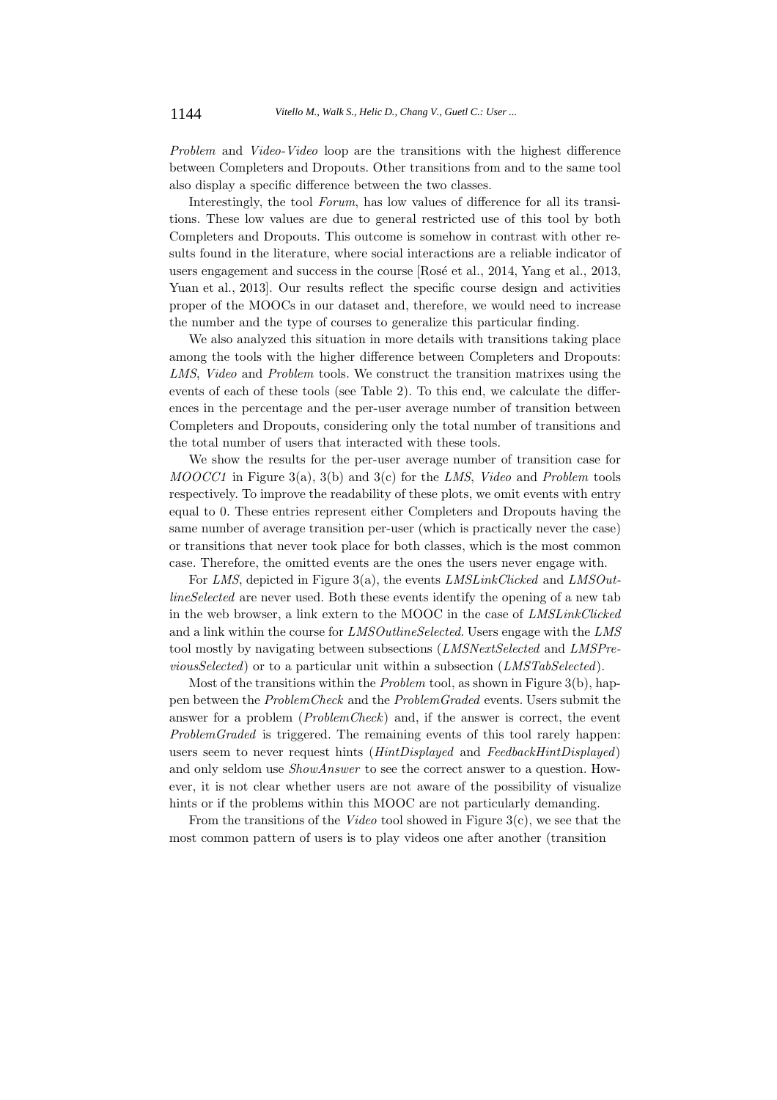*Problem* and *Video-Video* loop are the transitions with the highest difference between Completers and Dropouts. Other transitions from and to the same tool also display a specific difference between the two classes.

Interestingly, the tool *Forum*, has low values of difference for all its transitions. These low values are due to general restricted use of this tool by both Completers and Dropouts. This outcome is somehow in contrast with other results found in the literature, where social interactions are a reliable indicator of users engagement and success in the course [Rosé et al., 2014, Yang et al., 2013, Yuan et al., 2013. Our results reflect the specific course design and activities proper of the MOOCs in our dataset and, therefore, we would need to increase the number and the type of courses to generalize this particular finding.

We also analyzed this situation in more details with transitions taking place among the tools with the higher difference between Completers and Dropouts: *LMS*, *Video* and *Problem* tools. We construct the transition matrixes using the events of each of these tools (see Table 2). To this end, we calculate the differences in the percentage and the per-user average number of transition between Completers and Dropouts, considering only the total number of transitions and the total number of users that interacted with these tools.

We show the results for the per-user average number of transition case for *MOOCC1* in Figure 3(a), 3(b) and 3(c) for the *LMS*, *Video* and *Problem* tools respectively. To improve the readability of these plots, we omit events with entry equal to 0. These entries represent either Completers and Dropouts having the same number of average transition per-user (which is practically never the case) or transitions that never took place for both classes, which is the most common case. Therefore, the omitted events are the ones the users never engage with.

For *LMS*, depicted in Figure 3(a), the events *LMSLinkClicked* and *LMSOutlineSelected* are never used. Both these events identify the opening of a new tab in the web browser, a link extern to the MOOC in the case of *LMSLinkClicked* and a link within the course for *LMSOutlineSelected*. Users engage with the *LMS* tool mostly by navigating between subsections (*LMSNextSelected* and *LMSPreviousSelected*) or to a particular unit within a subsection (*LMSTabSelected*).

Most of the transitions within the *Problem* tool, as shown in Figure 3(b), happen between the *ProblemCheck* and the *ProblemGraded* events. Users submit the answer for a problem (*ProblemCheck*) and, if the answer is correct, the event *ProblemGraded* is triggered. The remaining events of this tool rarely happen: users seem to never request hints (*HintDisplayed* and *FeedbackHintDisplayed*) and only seldom use *ShowAnswer* to see the correct answer to a question. However, it is not clear whether users are not aware of the possibility of visualize hints or if the problems within this MOOC are not particularly demanding.

From the transitions of the *Video* tool showed in Figure 3(c), we see that the most common pattern of users is to play videos one after another (transition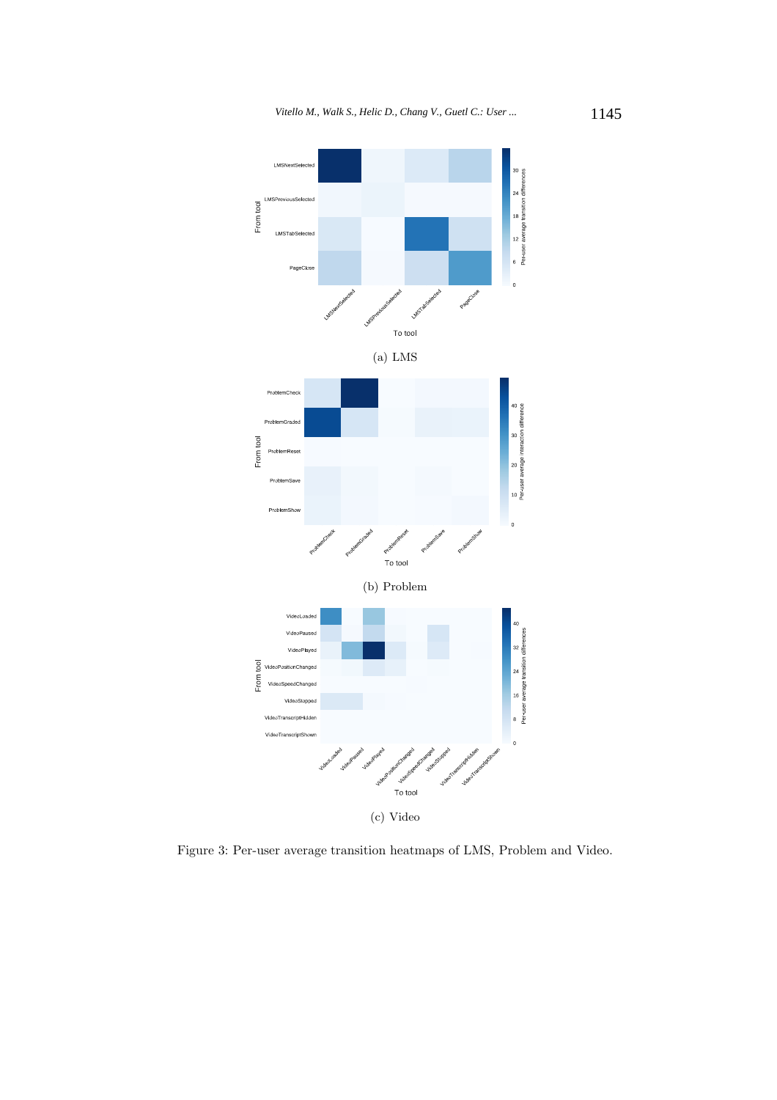

Figure 3: Per-user average transition heatmaps of LMS, Problem and Video.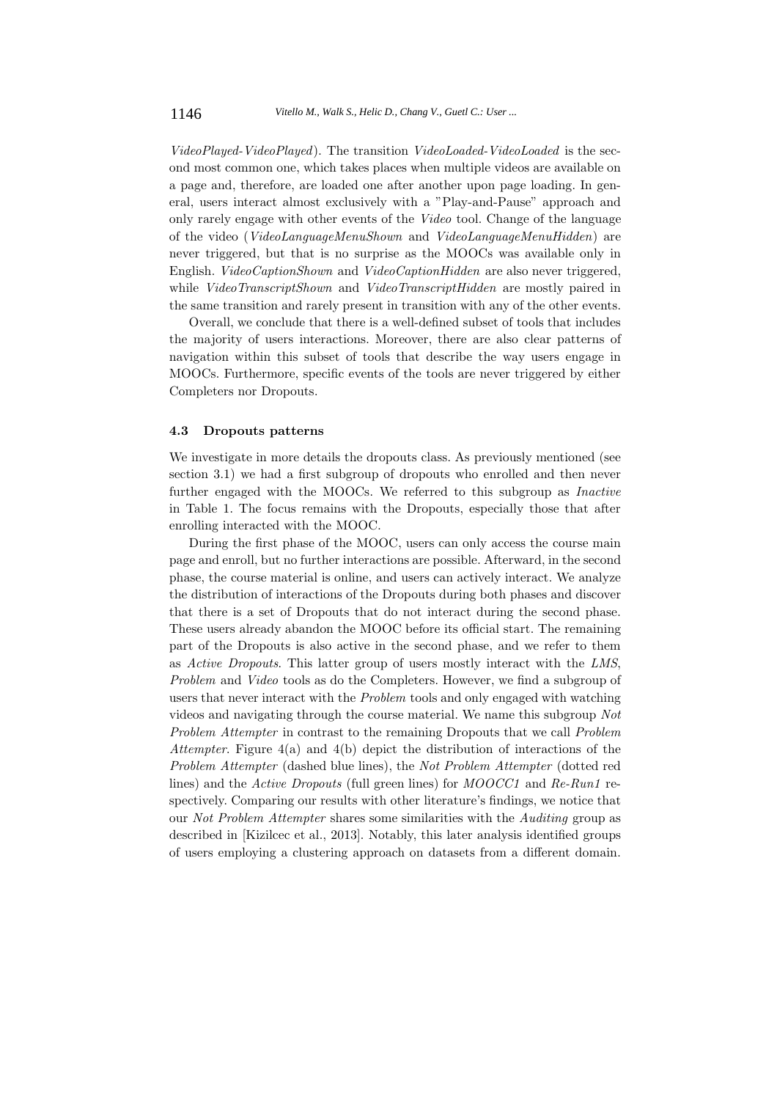*VideoPlayed-VideoPlayed*). The transition *VideoLoaded-VideoLoaded* is the second most common one, which takes places when multiple videos are available on a page and, therefore, are loaded one after another upon page loading. In general, users interact almost exclusively with a "Play-and-Pause" approach and only rarely engage with other events of the *Video* tool. Change of the language of the video (*VideoLanguageMenuShown* and *VideoLanguageMenuHidden*) are never triggered, but that is no surprise as the MOOCs was available only in English. *VideoCaptionShown* and *VideoCaptionHidden* are also never triggered, while *VideoTranscriptShown* and *VideoTranscriptHidden* are mostly paired in the same transition and rarely present in transition with any of the other events.

Overall, we conclude that there is a well-defined subset of tools that includes the majority of users interactions. Moreover, there are also clear patterns of navigation within this subset of tools that describe the way users engage in MOOCs. Furthermore, specific events of the tools are never triggered by either Completers nor Dropouts.

#### **4.3 Dropouts patterns**

We investigate in more details the dropouts class. As previously mentioned (see section 3.1) we had a first subgroup of dropouts who enrolled and then never further engaged with the MOOCs. We referred to this subgroup as *Inactive* in Table 1. The focus remains with the Dropouts, especially those that after enrolling interacted with the MOOC.

During the first phase of the MOOC, users can only access the course main page and enroll, but no further interactions are possible. Afterward, in the second phase, the course material is online, and users can actively interact. We analyze the distribution of interactions of the Dropouts during both phases and discover that there is a set of Dropouts that do not interact during the second phase. These users already abandon the MOOC before its official start. The remaining part of the Dropouts is also active in the second phase, and we refer to them as *Active Dropouts*. This latter group of users mostly interact with the *LMS*, *Problem* and *Video* tools as do the Completers. However, we find a subgroup of users that never interact with the *Problem* tools and only engaged with watching videos and navigating through the course material. We name this subgroup *Not Problem Attempter* in contrast to the remaining Dropouts that we call *Problem Attempter*. Figure 4(a) and 4(b) depict the distribution of interactions of the *Problem Attempter* (dashed blue lines), the *Not Problem Attempter* (dotted red lines) and the *Active Dropouts* (full green lines) for *MOOCC1* and *Re-Run1* respectively. Comparing our results with other literature's findings, we notice that our *Not Problem Attempter* shares some similarities with the *Auditing* group as described in [Kizilcec et al., 2013]. Notably, this later analysis identified groups of users employing a clustering approach on datasets from a different domain.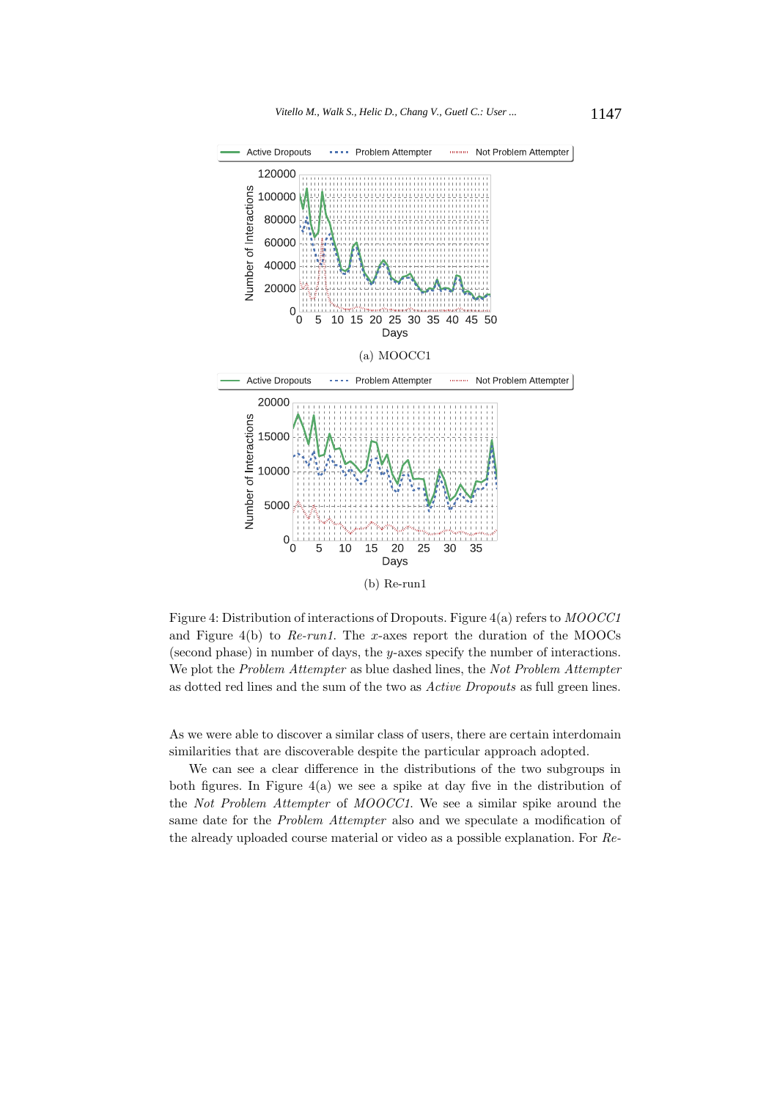

Figure 4: Distribution of interactions of Dropouts. Figure 4(a) refers to *MOOCC1* and Figure 4(b) to *Re-run1*. The *x*-axes report the duration of the MOOCs (second phase) in number of days, the *y*-axes specify the number of interactions. We plot the *Problem Attempter* as blue dashed lines, the *Not Problem Attempter* as dotted red lines and the sum of the two as *Active Dropouts* as full green lines.

As we were able to discover a similar class of users, there are certain interdomain similarities that are discoverable despite the particular approach adopted.

We can see a clear difference in the distributions of the two subgroups in both figures. In Figure  $4(a)$  we see a spike at day five in the distribution of the *Not Problem Attempter* of *MOOCC1*. We see a similar spike around the same date for the *Problem Attempter* also and we speculate a modification of the already uploaded course material or video as a possible explanation. For *Re-*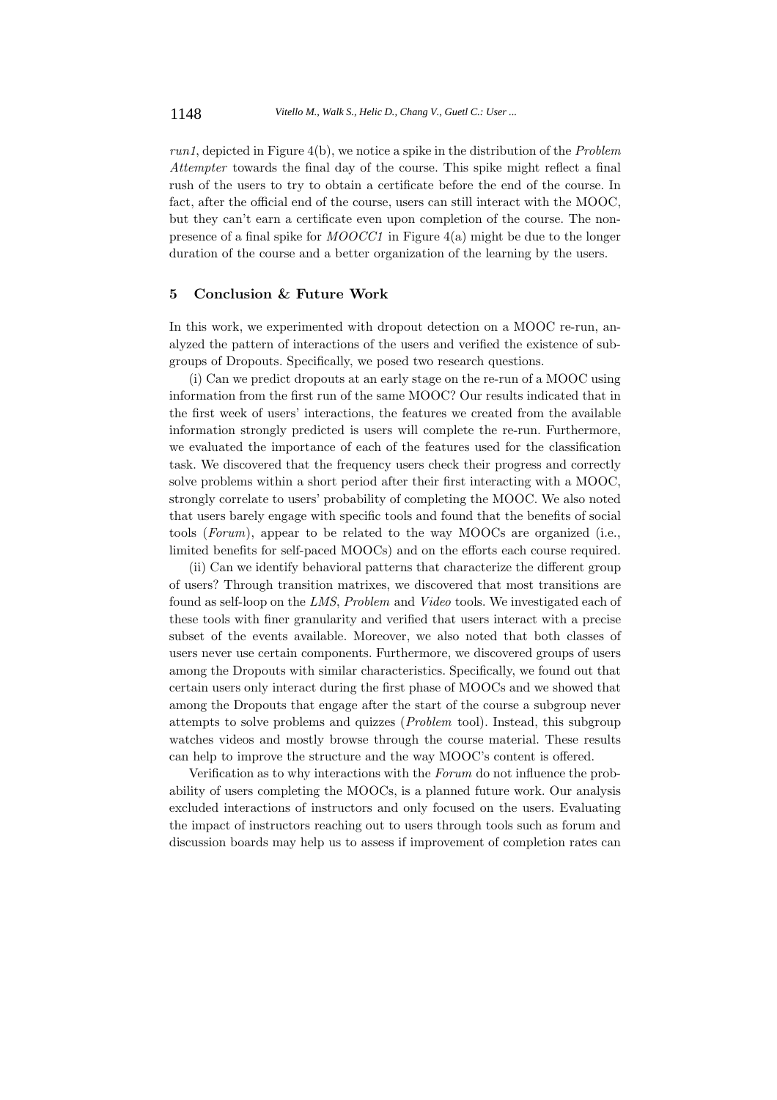*run1*, depicted in Figure 4(b), we notice a spike in the distribution of the *Problem Attempter* towards the final day of the course. This spike might reflect a final rush of the users to try to obtain a certificate before the end of the course. In fact, after the official end of the course, users can still interact with the MOOC, but they can't earn a certificate even upon completion of the course. The nonpresence of a final spike for *MOOCC1* in Figure 4(a) might be due to the longer duration of the course and a better organization of the learning by the users.

## **5 Conclusion & Future Work**

In this work, we experimented with dropout detection on a MOOC re-run, analyzed the pattern of interactions of the users and verified the existence of subgroups of Dropouts. Specifically, we posed two research questions.

(i) Can we predict dropouts at an early stage on the re-run of a MOOC using information from the first run of the same MOOC? Our results indicated that in the first week of users' interactions, the features we created from the available information strongly predicted is users will complete the re-run. Furthermore, we evaluated the importance of each of the features used for the classification task. We discovered that the frequency users check their progress and correctly solve problems within a short period after their first interacting with a MOOC, strongly correlate to users' probability of completing the MOOC. We also noted that users barely engage with specific tools and found that the benefits of social tools (*Forum*), appear to be related to the way MOOCs are organized (i.e., limited benefits for self-paced MOOCs) and on the efforts each course required.

(ii) Can we identify behavioral patterns that characterize the different group of users? Through transition matrixes, we discovered that most transitions are found as self-loop on the *LMS*, *Problem* and *Video* tools. We investigated each of these tools with finer granularity and verified that users interact with a precise subset of the events available. Moreover, we also noted that both classes of users never use certain components. Furthermore, we discovered groups of users among the Dropouts with similar characteristics. Specifically, we found out that certain users only interact during the first phase of MOOCs and we showed that among the Dropouts that engage after the start of the course a subgroup never attempts to solve problems and quizzes (*Problem* tool). Instead, this subgroup watches videos and mostly browse through the course material. These results can help to improve the structure and the way MOOC's content is offered.

Verification as to why interactions with the *Forum* do not influence the probability of users completing the MOOCs, is a planned future work. Our analysis excluded interactions of instructors and only focused on the users. Evaluating the impact of instructors reaching out to users through tools such as forum and discussion boards may help us to assess if improvement of completion rates can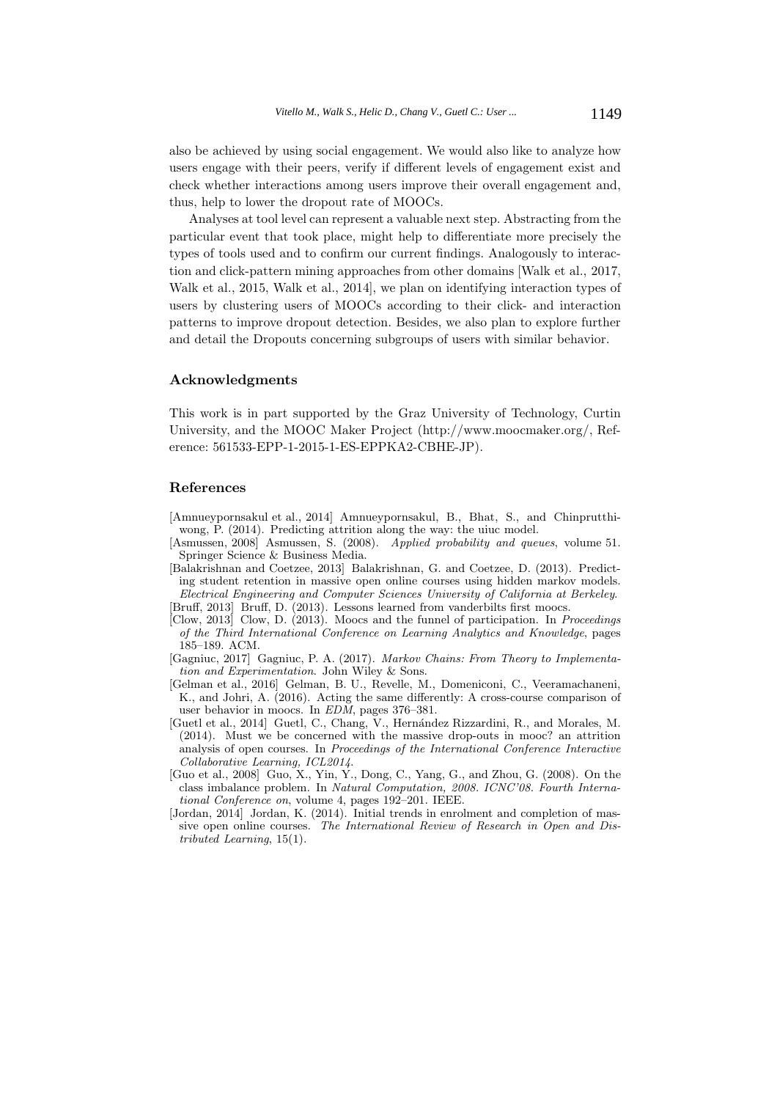also be achieved by using social engagement. We would also like to analyze how users engage with their peers, verify if different levels of engagement exist and check whether interactions among users improve their overall engagement and, thus, help to lower the dropout rate of MOOCs.

Analyses at tool level can represent a valuable next step. Abstracting from the particular event that took place, might help to differentiate more precisely the types of tools used and to confirm our current findings. Analogously to interaction and click-pattern mining approaches from other domains [Walk et al., 2017, Walk et al., 2015, Walk et al., 2014], we plan on identifying interaction types of users by clustering users of MOOCs according to their click- and interaction patterns to improve dropout detection. Besides, we also plan to explore further and detail the Dropouts concerning subgroups of users with similar behavior.

#### **Acknowledgments**

This work is in part supported by the Graz University of Technology, Curtin University, and the MOOC Maker Project (http://www.moocmaker.org/, Reference: 561533-EPP-1-2015-1-ES-EPPKA2-CBHE-JP).

#### **References**

- [Amnueypornsakul et al., 2014] Amnueypornsakul, B., Bhat, S., and Chinprutthiwong, P. (2014). Predicting attrition along the way: the uiuc model.
- [Asmussen, 2008] Asmussen, S. (2008). *Applied probability and queues*, volume 51. Springer Science & Business Media.
- [Balakrishnan and Coetzee, 2013] Balakrishnan, G. and Coetzee, D. (2013). Predicting student retention in massive open online courses using hidden markov models. *Electrical Engineering and Computer Sciences University of California at Berkeley*. [Bruff, 2013] Bruff, D. (2013). Lessons learned from vanderbilts first moocs.
- [Clow, 2013] Clow, D. (2013). Moocs and the funnel of participation. In *Proceedings*
- *of the Third International Conference on Learning Analytics and Knowledge*, pages 185–189. ACM.
- [Gagniuc, 2017] Gagniuc, P. A. (2017). *Markov Chains: From Theory to Implementation and Experimentation*. John Wiley & Sons.
- [Gelman et al., 2016] Gelman, B. U., Revelle, M., Domeniconi, C., Veeramachaneni, K., and Johri, A. (2016). Acting the same differently: A cross-course comparison of user behavior in moocs. In *EDM*, pages 376–381.
- [Guetl et al., 2014] Guetl, C., Chang, V., Hernández Rizzardini, R., and Morales, M. (2014). Must we be concerned with the massive drop-outs in mooc? an attrition analysis of open courses. In *Proceedings of the International Conference Interactive Collaborative Learning, ICL2014*.
- [Guo et al., 2008] Guo, X., Yin, Y., Dong, C., Yang, G., and Zhou, G. (2008). On the class imbalance problem. In *Natural Computation, 2008. ICNC'08. Fourth International Conference on*, volume 4, pages 192–201. IEEE.
- [Jordan, 2014] Jordan, K. (2014). Initial trends in enrolment and completion of massive open online courses. *The International Review of Research in Open and Distributed Learning*, 15(1).